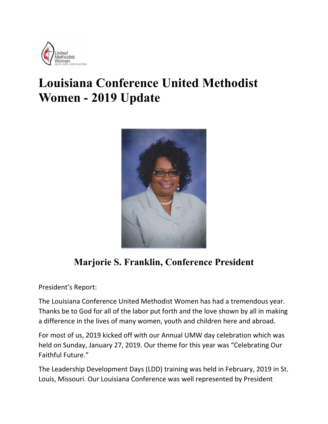

## **Louisiana Conference United Methodist Women - 2019 Update**



## **Marjorie S. Franklin, Conference President**

President's Report:

The Louisiana Conference United Methodist Women has had a tremendous year. Thanks be to God for all of the labor put forth and the love shown by all in making a difference in the lives of many women, youth and children here and abroad.

For most of us, 2019 kicked off with our Annual UMW day celebration which was held on Sunday, January 27, 2019. Our theme for this year was "Celebrating Our Faithful Future."

The Leadership Development Days (LDD) training was held in February, 2019 in St. Louis, Missouri. Our Louisiana Conference was well represented by President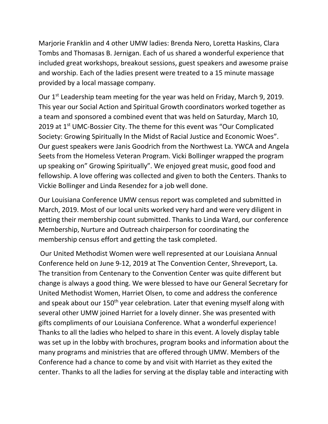Marjorie Franklin and 4 other UMW ladies: Brenda Nero, Loretta Haskins, Clara Tombs and Thomasas B. Jernigan. Each of us shared a wonderful experience that included great workshops, breakout sessions, guest speakers and awesome praise and worship. Each of the ladies present were treated to a 15 minute massage provided by a local massage company.

Our 1<sup>st</sup> Leadership team meeting for the year was held on Friday, March 9, 2019. This year our Social Action and Spiritual Growth coordinators worked together as a team and sponsored a combined event that was held on Saturday, March 10, 2019 at 1<sup>st</sup> UMC-Bossier City. The theme for this event was "Our Complicated Society: Growing Spiritually In the Midst of Racial Justice and Economic Woes". Our guest speakers were Janis Goodrich from the Northwest La. YWCA and Angela Seets from the Homeless Veteran Program. Vicki Bollinger wrapped the program up speaking on" Growing Spiritually". We enjoyed great music, good food and fellowship. A love offering was collected and given to both the Centers. Thanks to Vickie Bollinger and Linda Resendez for a job well done.

Our Louisiana Conference UMW census report was completed and submitted in March, 2019. Most of our local units worked very hard and were very diligent in getting their membership count submitted. Thanks to Linda Ward, our conference Membership, Nurture and Outreach chairperson for coordinating the membership census effort and getting the task completed.

Our United Methodist Women were well represented at our Louisiana Annual Conference held on June 9-12, 2019 at The Convention Center, Shreveport, La. The transition from Centenary to the Convention Center was quite different but change is always a good thing. We were blessed to have our General Secretary for United Methodist Women, Harriet Olsen, to come and address the conference and speak about our 150<sup>th</sup> year celebration. Later that evening myself along with several other UMW joined Harriet for a lovely dinner. She was presented with gifts compliments of our Louisiana Conference. What a wonderful experience! Thanks to all the ladies who helped to share in this event. A lovely display table was set up in the lobby with brochures, program books and information about the many programs and ministries that are offered through UMW. Members of the Conference had a chance to come by and visit with Harriet as they exited the center. Thanks to all the ladies for serving at the display table and interacting with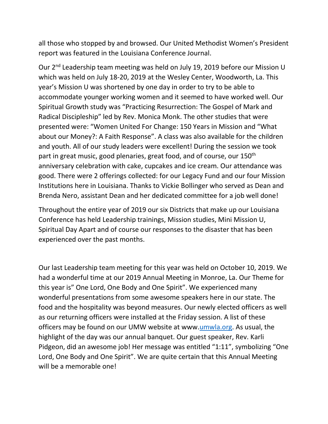all those who stopped by and browsed. Our United Methodist Women's President report was featured in the Louisiana Conference Journal.

Our 2<sup>nd</sup> Leadership team meeting was held on July 19, 2019 before our Mission U which was held on July 18-20, 2019 at the Wesley Center, Woodworth, La. This year's Mission U was shortened by one day in order to try to be able to accommodate younger working women and it seemed to have worked well. Our Spiritual Growth study was "Practicing Resurrection: The Gospel of Mark and Radical Discipleship" led by Rev. Monica Monk. The other studies that were presented were: "Women United For Change: 150 Years in Mission and "What about our Money?: A Faith Response". A class was also available for the children and youth. All of our study leaders were excellent! During the session we took part in great music, good plenaries, great food, and of course, our 150<sup>th</sup> anniversary celebration with cake, cupcakes and ice cream. Our attendance was good. There were 2 offerings collected: for our Legacy Fund and our four Mission Institutions here in Louisiana. Thanks to Vickie Bollinger who served as Dean and Brenda Nero, assistant Dean and her dedicated committee for a job well done!

Throughout the entire year of 2019 our six Districts that make up our Louisiana Conference has held Leadership trainings, Mission studies, Mini Mission U, Spiritual Day Apart and of course our responses to the disaster that has been experienced over the past months.

Our last Leadership team meeting for this year was held on October 10, 2019. We had a wonderful time at our 2019 Annual Meeting in Monroe, La. Our Theme for this year is" One Lord, One Body and One Spirit". We experienced many wonderful presentations from some awesome speakers here in our state. The food and the hospitality was beyond measures. Our newly elected officers as well as our returning officers were installed at the Friday session. A list of these officers may be found on our UMW website at www[.umwla.org.](about:blank) As usual, the highlight of the day was our annual banquet. Our guest speaker, Rev. Karli Pidgeon, did an awesome job! Her message was entitled "1:11", symbolizing "One Lord, One Body and One Spirit". We are quite certain that this Annual Meeting will be a memorable one!